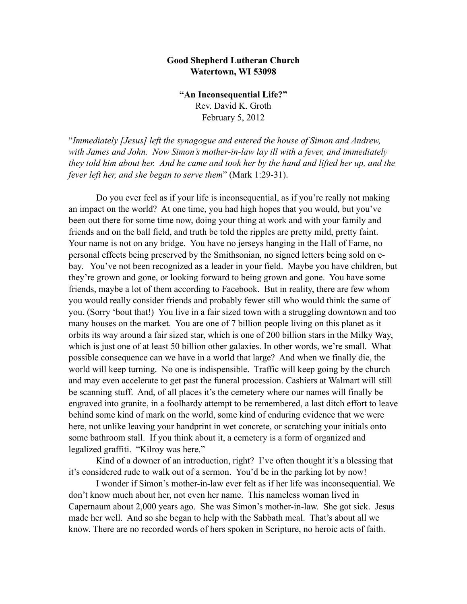## **Good Shepherd Lutheran Church Watertown, WI 53098**

**"An Inconsequential Life?"**  Rev. David K. Groth February 5, 2012

"*Immediately [Jesus] left the synagogue and entered the house of Simon and Andrew, with James and John. Now Simon's mother-in-law lay ill with a fever, and immediately they told him about her. And he came and took her by the hand and lifted her up, and the fever left her, and she began to serve them*" (Mark 1:29-31).

 Do you ever feel as if your life is inconsequential, as if you're really not making an impact on the world? At one time, you had high hopes that you would, but you've been out there for some time now, doing your thing at work and with your family and friends and on the ball field, and truth be told the ripples are pretty mild, pretty faint. Your name is not on any bridge. You have no jerseys hanging in the Hall of Fame, no personal effects being preserved by the Smithsonian, no signed letters being sold on ebay. You've not been recognized as a leader in your field. Maybe you have children, but they're grown and gone, or looking forward to being grown and gone. You have some friends, maybe a lot of them according to Facebook. But in reality, there are few whom you would really consider friends and probably fewer still who would think the same of you. (Sorry 'bout that!) You live in a fair sized town with a struggling downtown and too many houses on the market. You are one of 7 billion people living on this planet as it orbits its way around a fair sized star, which is one of 200 billion stars in the Milky Way, which is just one of at least 50 billion other galaxies. In other words, we're small. What possible consequence can we have in a world that large? And when we finally die, the world will keep turning. No one is indispensible. Traffic will keep going by the church and may even accelerate to get past the funeral procession. Cashiers at Walmart will still be scanning stuff. And, of all places it's the cemetery where our names will finally be engraved into granite, in a foolhardy attempt to be remembered, a last ditch effort to leave behind some kind of mark on the world, some kind of enduring evidence that we were here, not unlike leaving your handprint in wet concrete, or scratching your initials onto some bathroom stall. If you think about it, a cemetery is a form of organized and legalized graffiti. "Kilroy was here."

Kind of a downer of an introduction, right? I've often thought it's a blessing that it's considered rude to walk out of a sermon. You'd be in the parking lot by now!

I wonder if Simon's mother-in-law ever felt as if her life was inconsequential. We don't know much about her, not even her name. This nameless woman lived in Capernaum about 2,000 years ago. She was Simon's mother-in-law. She got sick. Jesus made her well. And so she began to help with the Sabbath meal. That's about all we know. There are no recorded words of hers spoken in Scripture, no heroic acts of faith.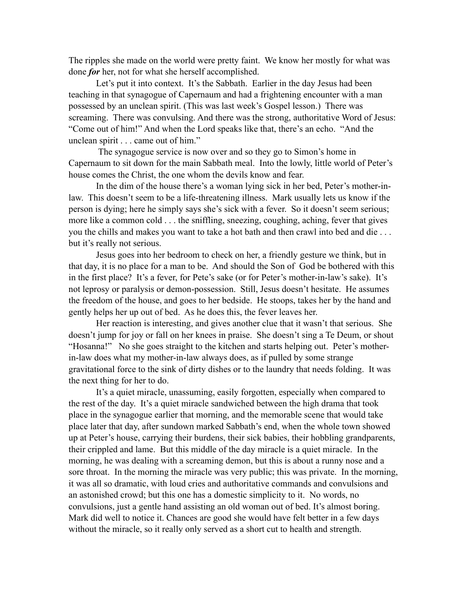The ripples she made on the world were pretty faint. We know her mostly for what was done *for* her, not for what she herself accomplished.

Let's put it into context. It's the Sabbath. Earlier in the day Jesus had been teaching in that synagogue of Capernaum and had a frightening encounter with a man possessed by an unclean spirit. (This was last week's Gospel lesson.) There was screaming. There was convulsing. And there was the strong, authoritative Word of Jesus: "Come out of him!" And when the Lord speaks like that, there's an echo. "And the unclean spirit . . . came out of him."

 The synagogue service is now over and so they go to Simon's home in Capernaum to sit down for the main Sabbath meal. Into the lowly, little world of Peter's house comes the Christ, the one whom the devils know and fear.

In the dim of the house there's a woman lying sick in her bed, Peter's mother-inlaw. This doesn't seem to be a life-threatening illness. Mark usually lets us know if the person is dying; here he simply says she's sick with a fever. So it doesn't seem serious; more like a common cold . . . the sniffling, sneezing, coughing, aching, fever that gives you the chills and makes you want to take a hot bath and then crawl into bed and die . . . but it's really not serious.

Jesus goes into her bedroom to check on her, a friendly gesture we think, but in that day, it is no place for a man to be. And should the Son of God be bothered with this in the first place? It's a fever, for Pete's sake (or for Peter's mother-in-law's sake). It's not leprosy or paralysis or demon-possession. Still, Jesus doesn't hesitate. He assumes the freedom of the house, and goes to her bedside. He stoops, takes her by the hand and gently helps her up out of bed. As he does this, the fever leaves her.

Her reaction is interesting, and gives another clue that it wasn't that serious. She doesn't jump for joy or fall on her knees in praise. She doesn't sing a Te Deum, or shout "Hosanna!" No she goes straight to the kitchen and starts helping out. Peter's motherin-law does what my mother-in-law always does, as if pulled by some strange gravitational force to the sink of dirty dishes or to the laundry that needs folding. It was the next thing for her to do.

It's a quiet miracle, unassuming, easily forgotten, especially when compared to the rest of the day. It's a quiet miracle sandwiched between the high drama that took place in the synagogue earlier that morning, and the memorable scene that would take place later that day, after sundown marked Sabbath's end, when the whole town showed up at Peter's house, carrying their burdens, their sick babies, their hobbling grandparents, their crippled and lame. But this middle of the day miracle is a quiet miracle. In the morning, he was dealing with a screaming demon, but this is about a runny nose and a sore throat. In the morning the miracle was very public; this was private. In the morning, it was all so dramatic, with loud cries and authoritative commands and convulsions and an astonished crowd; but this one has a domestic simplicity to it. No words, no convulsions, just a gentle hand assisting an old woman out of bed. It's almost boring. Mark did well to notice it. Chances are good she would have felt better in a few days without the miracle, so it really only served as a short cut to health and strength.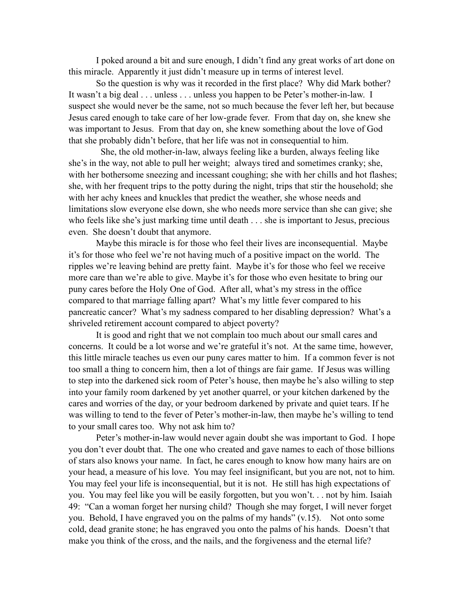I poked around a bit and sure enough, I didn't find any great works of art done on this miracle. Apparently it just didn't measure up in terms of interest level.

So the question is why was it recorded in the first place? Why did Mark bother? It wasn't a big deal . . . unless . . . unless you happen to be Peter's mother-in-law. I suspect she would never be the same, not so much because the fever left her, but because Jesus cared enough to take care of her low-grade fever. From that day on, she knew she was important to Jesus. From that day on, she knew something about the love of God that she probably didn't before, that her life was not in consequential to him.

 She, the old mother-in-law, always feeling like a burden, always feeling like she's in the way, not able to pull her weight; always tired and sometimes cranky; she, with her bothersome sneezing and incessant coughing; she with her chills and hot flashes; she, with her frequent trips to the potty during the night, trips that stir the household; she with her achy knees and knuckles that predict the weather, she whose needs and limitations slow everyone else down, she who needs more service than she can give; she who feels like she's just marking time until death . . . she is important to Jesus, precious even. She doesn't doubt that anymore.

Maybe this miracle is for those who feel their lives are inconsequential. Maybe it's for those who feel we're not having much of a positive impact on the world. The ripples we're leaving behind are pretty faint. Maybe it's for those who feel we receive more care than we're able to give. Maybe it's for those who even hesitate to bring our puny cares before the Holy One of God. After all, what's my stress in the office compared to that marriage falling apart? What's my little fever compared to his pancreatic cancer? What's my sadness compared to her disabling depression? What's a shriveled retirement account compared to abject poverty?

It is good and right that we not complain too much about our small cares and concerns. It could be a lot worse and we're grateful it's not. At the same time, however, this little miracle teaches us even our puny cares matter to him. If a common fever is not too small a thing to concern him, then a lot of things are fair game. If Jesus was willing to step into the darkened sick room of Peter's house, then maybe he's also willing to step into your family room darkened by yet another quarrel, or your kitchen darkened by the cares and worries of the day, or your bedroom darkened by private and quiet tears. If he was willing to tend to the fever of Peter's mother-in-law, then maybe he's willing to tend to your small cares too. Why not ask him to?

Peter's mother-in-law would never again doubt she was important to God. I hope you don't ever doubt that. The one who created and gave names to each of those billions of stars also knows your name. In fact, he cares enough to know how many hairs are on your head, a measure of his love. You may feel insignificant, but you are not, not to him. You may feel your life is inconsequential, but it is not. He still has high expectations of you. You may feel like you will be easily forgotten, but you won't. . . not by him. Isaiah 49: "Can a woman forget her nursing child? Though she may forget, I will never forget you. Behold, I have engraved you on the palms of my hands" (v.15). Not onto some cold, dead granite stone; he has engraved you onto the palms of his hands. Doesn't that make you think of the cross, and the nails, and the forgiveness and the eternal life?